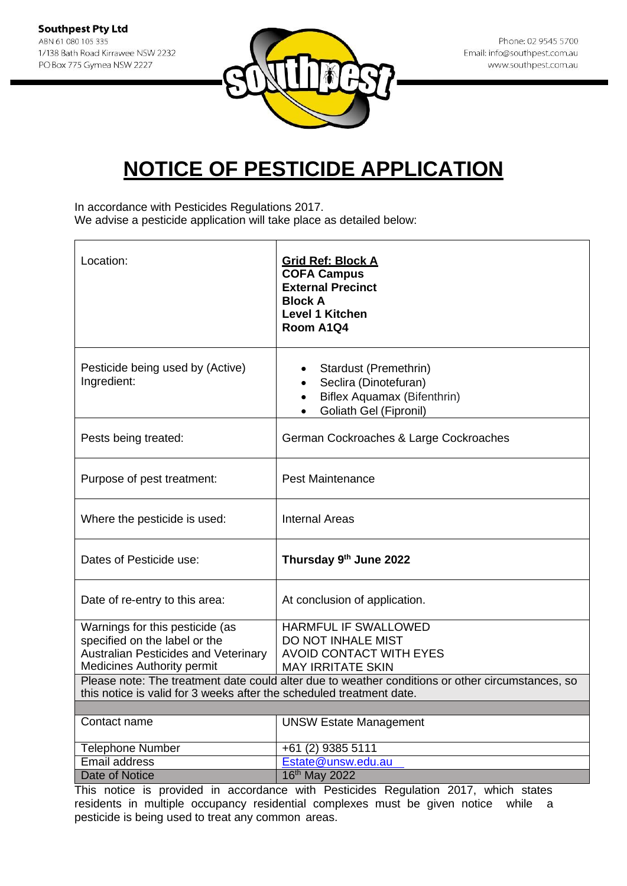

In accordance with Pesticides Regulations 2017. We advise a pesticide application will take place as detailed below:

| Location:                                                                                                                                                                | <b>Grid Ref: Block A</b><br><b>COFA Campus</b><br><b>External Precinct</b><br><b>Block A</b><br><b>Level 1 Kitchen</b><br>Room A1Q4 |
|--------------------------------------------------------------------------------------------------------------------------------------------------------------------------|-------------------------------------------------------------------------------------------------------------------------------------|
| Pesticide being used by (Active)<br>Ingredient:                                                                                                                          | Stardust (Premethrin)<br>Seclira (Dinotefuran)<br>Biflex Aquamax (Bifenthrin)<br>$\bullet$<br>Goliath Gel (Fipronil)                |
| Pests being treated:                                                                                                                                                     | German Cockroaches & Large Cockroaches                                                                                              |
| Purpose of pest treatment:                                                                                                                                               | <b>Pest Maintenance</b>                                                                                                             |
| Where the pesticide is used:                                                                                                                                             | Internal Areas                                                                                                                      |
| Dates of Pesticide use:                                                                                                                                                  | Thursday 9th June 2022                                                                                                              |
| Date of re-entry to this area:                                                                                                                                           | At conclusion of application.                                                                                                       |
| Warnings for this pesticide (as<br>specified on the label or the<br><b>Australian Pesticides and Veterinary</b><br><b>Medicines Authority permit</b>                     | <b>HARMFUL IF SWALLOWED</b><br>DO NOT INHALE MIST<br><b>AVOID CONTACT WITH EYES</b><br><b>MAY IRRITATE SKIN</b>                     |
| Please note: The treatment date could alter due to weather conditions or other circumstances, so<br>this notice is valid for 3 weeks after the scheduled treatment date. |                                                                                                                                     |
| Contact name                                                                                                                                                             | <b>UNSW Estate Management</b>                                                                                                       |
| <b>Telephone Number</b>                                                                                                                                                  | +61 (2) 9385 5111                                                                                                                   |
| Email address<br>Date of Notice                                                                                                                                          | Estate@unsw.edu.au<br>16th May 2022                                                                                                 |
|                                                                                                                                                                          |                                                                                                                                     |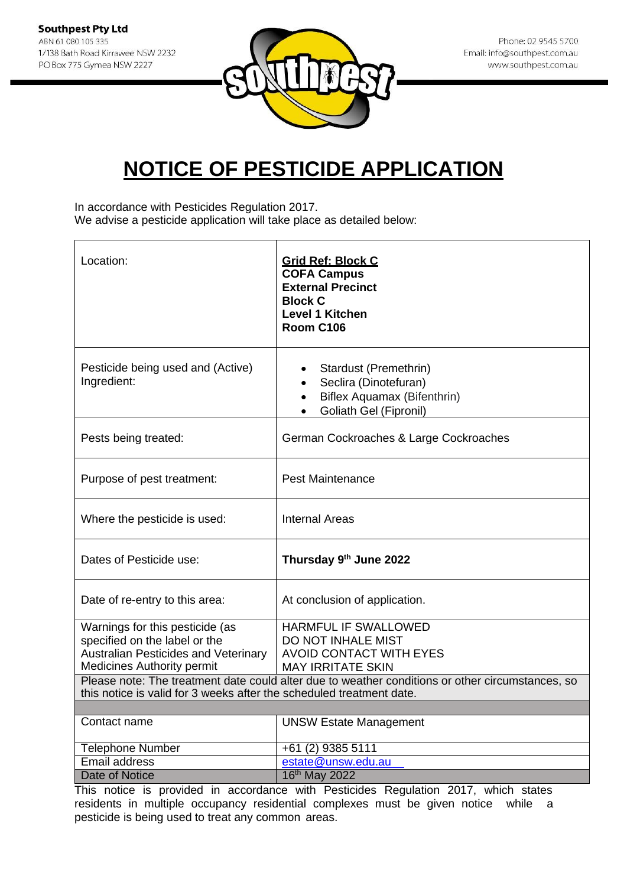

In accordance with Pesticides Regulation 2017.

We advise a pesticide application will take place as detailed below:

| Location:                                                                                                                                            | <b>Grid Ref: Block C</b><br><b>COFA Campus</b><br><b>External Precinct</b><br><b>Block C</b><br><b>Level 1 Kitchen</b><br>Room C106                                                                                 |
|------------------------------------------------------------------------------------------------------------------------------------------------------|---------------------------------------------------------------------------------------------------------------------------------------------------------------------------------------------------------------------|
| Pesticide being used and (Active)<br>Ingredient:                                                                                                     | Stardust (Premethrin)<br>Seclira (Dinotefuran)<br>Biflex Aquamax (Bifenthrin)<br>$\bullet$<br>Goliath Gel (Fipronil)                                                                                                |
| Pests being treated:                                                                                                                                 | German Cockroaches & Large Cockroaches                                                                                                                                                                              |
| Purpose of pest treatment:                                                                                                                           | <b>Pest Maintenance</b>                                                                                                                                                                                             |
| Where the pesticide is used:                                                                                                                         | <b>Internal Areas</b>                                                                                                                                                                                               |
| Dates of Pesticide use:                                                                                                                              | Thursday 9th June 2022                                                                                                                                                                                              |
| Date of re-entry to this area:                                                                                                                       | At conclusion of application.                                                                                                                                                                                       |
| Warnings for this pesticide (as<br>specified on the label or the<br><b>Australian Pesticides and Veterinary</b><br><b>Medicines Authority permit</b> | <b>HARMFUL IF SWALLOWED</b><br>DO NOT INHALE MIST<br><b>AVOID CONTACT WITH EYES</b><br><b>MAY IRRITATE SKIN</b><br>Please note: The treatment date could alter due to weather conditions or other circumstances, so |
| this notice is valid for 3 weeks after the scheduled treatment date.                                                                                 |                                                                                                                                                                                                                     |
| Contact name                                                                                                                                         | <b>UNSW Estate Management</b>                                                                                                                                                                                       |
| <b>Telephone Number</b>                                                                                                                              | +61 (2) 9385 5111                                                                                                                                                                                                   |
| Email address                                                                                                                                        | estate@unsw.edu.au                                                                                                                                                                                                  |
| Date of Notice                                                                                                                                       | 16th May 2022                                                                                                                                                                                                       |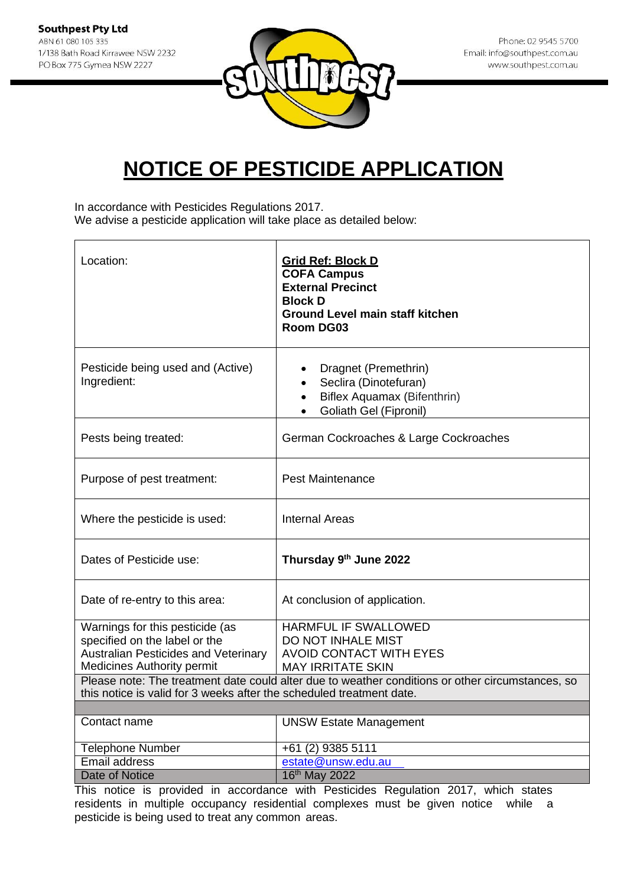

In accordance with Pesticides Regulations 2017. We advise a pesticide application will take place as detailed below:

| Location:                                                                                                                                                                                                                                 | <b>Grid Ref: Block D</b><br><b>COFA Campus</b><br><b>External Precinct</b><br><b>Block D</b><br><b>Ground Level main staff kitchen</b><br><b>Room DG03</b> |
|-------------------------------------------------------------------------------------------------------------------------------------------------------------------------------------------------------------------------------------------|------------------------------------------------------------------------------------------------------------------------------------------------------------|
| Pesticide being used and (Active)<br>Ingredient:                                                                                                                                                                                          | Dragnet (Premethrin)<br>Seclira (Dinotefuran)<br>Biflex Aquamax (Bifenthrin)<br>$\bullet$<br>Goliath Gel (Fipronil)                                        |
| Pests being treated:                                                                                                                                                                                                                      | German Cockroaches & Large Cockroaches                                                                                                                     |
| Purpose of pest treatment:                                                                                                                                                                                                                | <b>Pest Maintenance</b>                                                                                                                                    |
| Where the pesticide is used:                                                                                                                                                                                                              | Internal Areas                                                                                                                                             |
| Dates of Pesticide use:                                                                                                                                                                                                                   | Thursday 9th June 2022                                                                                                                                     |
| Date of re-entry to this area:                                                                                                                                                                                                            | At conclusion of application.                                                                                                                              |
| Warnings for this pesticide (as<br>specified on the label or the<br><b>Australian Pesticides and Veterinary</b>                                                                                                                           | <b>HARMFUL IF SWALLOWED</b><br>DO NOT INHALE MIST<br><b>AVOID CONTACT WITH EYES</b>                                                                        |
| <b>Medicines Authority permit</b><br><b>MAY IRRITATE SKIN</b><br>Please note: The treatment date could alter due to weather conditions or other circumstances, so<br>this notice is valid for 3 weeks after the scheduled treatment date. |                                                                                                                                                            |
| Contact name                                                                                                                                                                                                                              |                                                                                                                                                            |
|                                                                                                                                                                                                                                           | <b>UNSW Estate Management</b>                                                                                                                              |
| <b>Telephone Number</b>                                                                                                                                                                                                                   | +61 (2) 9385 5111                                                                                                                                          |
| Email address                                                                                                                                                                                                                             | estate@unsw.edu.au                                                                                                                                         |
| Date of Notice                                                                                                                                                                                                                            | 16th May 2022                                                                                                                                              |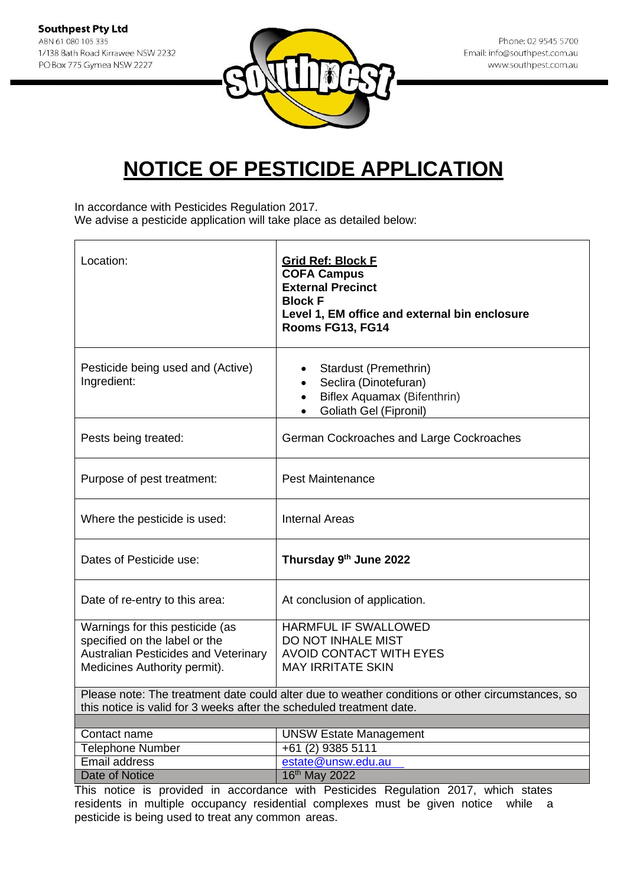

In accordance with Pesticides Regulation 2017.

We advise a pesticide application will take place as detailed below:

| Location:                                                                                                                                                                | <b>Grid Ref: Block F</b><br><b>COFA Campus</b><br><b>External Precinct</b><br><b>Block F</b><br>Level 1, EM office and external bin enclosure<br>Rooms FG13, FG14 |
|--------------------------------------------------------------------------------------------------------------------------------------------------------------------------|-------------------------------------------------------------------------------------------------------------------------------------------------------------------|
| Pesticide being used and (Active)<br>Ingredient:                                                                                                                         | Stardust (Premethrin)<br>Seclira (Dinotefuran)<br>Biflex Aquamax (Bifenthrin)<br>$\bullet$<br>Goliath Gel (Fipronil)                                              |
| Pests being treated:                                                                                                                                                     | German Cockroaches and Large Cockroaches                                                                                                                          |
| Purpose of pest treatment:                                                                                                                                               | <b>Pest Maintenance</b>                                                                                                                                           |
| Where the pesticide is used:                                                                                                                                             | <b>Internal Areas</b>                                                                                                                                             |
| Dates of Pesticide use:                                                                                                                                                  | Thursday 9th June 2022                                                                                                                                            |
| Date of re-entry to this area:                                                                                                                                           | At conclusion of application.                                                                                                                                     |
| Warnings for this pesticide (as<br>specified on the label or the<br><b>Australian Pesticides and Veterinary</b><br>Medicines Authority permit).                          | <b>HARMFUL IF SWALLOWED</b><br>DO NOT INHALE MIST<br><b>AVOID CONTACT WITH EYES</b><br><b>MAY IRRITATE SKIN</b>                                                   |
| Please note: The treatment date could alter due to weather conditions or other circumstances, so<br>this notice is valid for 3 weeks after the scheduled treatment date. |                                                                                                                                                                   |
|                                                                                                                                                                          |                                                                                                                                                                   |
| Contact name                                                                                                                                                             | <b>UNSW Estate Management</b><br>$+6\overline{1}$ (2) 9385 5111                                                                                                   |
| <b>Telephone Number</b><br><b>Email address</b>                                                                                                                          | estate@unsw.edu.au                                                                                                                                                |
| Date of Notice                                                                                                                                                           | 16th May 2022                                                                                                                                                     |
|                                                                                                                                                                          |                                                                                                                                                                   |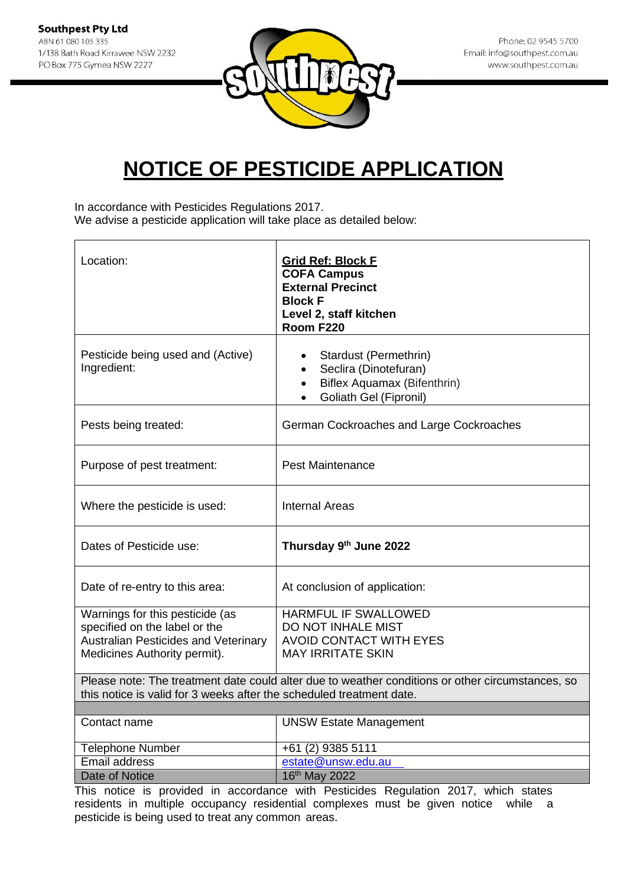

In accordance with Pesticides Regulations 2017. We advise a pesticide application will take place as detailed below:

| Location:                                                                                                                                       | <b>Grid Ref: Block F</b><br><b>COFA Campus</b><br><b>External Precinct</b><br><b>Block F</b><br>Level 2, staff kitchen<br>Room F220            |
|-------------------------------------------------------------------------------------------------------------------------------------------------|------------------------------------------------------------------------------------------------------------------------------------------------|
| Pesticide being used and (Active)<br>Ingredient:                                                                                                | Stardust (Permethrin)<br>Seclira (Dinotefuran)<br>$\bullet$<br>Biflex Aquamax (Bifenthrin)<br>$\bullet$<br>Goliath Gel (Fipronil)<br>$\bullet$ |
| Pests being treated:                                                                                                                            | German Cockroaches and Large Cockroaches                                                                                                       |
| Purpose of pest treatment:                                                                                                                      | <b>Pest Maintenance</b>                                                                                                                        |
| Where the pesticide is used:                                                                                                                    | <b>Internal Areas</b>                                                                                                                          |
| Dates of Pesticide use:                                                                                                                         | Thursday 9th June 2022                                                                                                                         |
| Date of re-entry to this area:                                                                                                                  | At conclusion of application:                                                                                                                  |
| Warnings for this pesticide (as<br>specified on the label or the<br><b>Australian Pesticides and Veterinary</b><br>Medicines Authority permit). | HARMFUL IF SWALLOWED<br>DO NOT INHALE MIST<br><b>AVOID CONTACT WITH EYES</b><br><b>MAY IRRITATE SKIN</b>                                       |
| this notice is valid for 3 weeks after the scheduled treatment date.                                                                            | Please note: The treatment date could alter due to weather conditions or other circumstances, so                                               |
| Contact name                                                                                                                                    | <b>UNSW Estate Management</b>                                                                                                                  |
|                                                                                                                                                 |                                                                                                                                                |
| <b>Telephone Number</b><br>Email address                                                                                                        | +61 (2) 9385 5111<br>estate@unsw.edu.au                                                                                                        |
| Date of Notice                                                                                                                                  | 16 <sup>th</sup> May 2022                                                                                                                      |
|                                                                                                                                                 |                                                                                                                                                |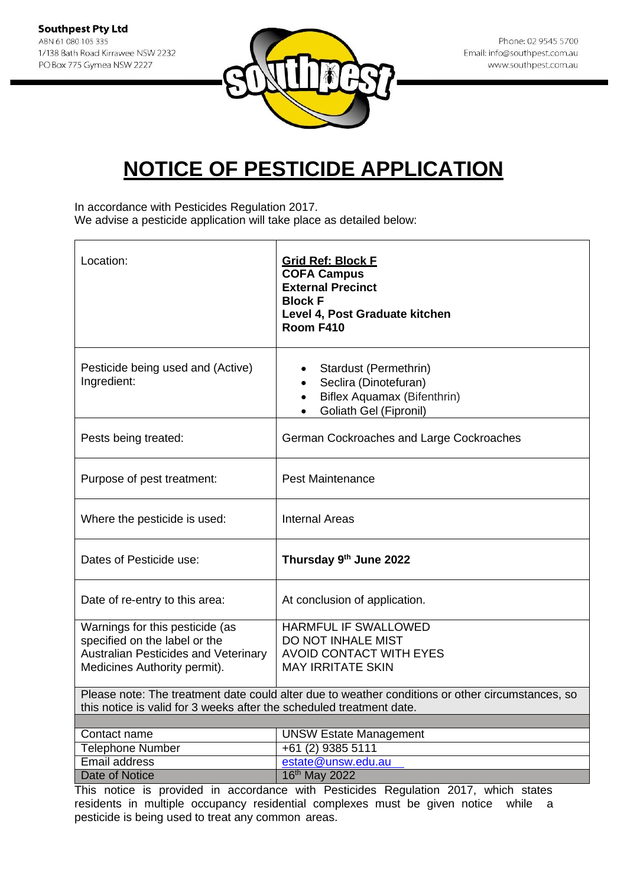

In accordance with Pesticides Regulation 2017.

We advise a pesticide application will take place as detailed below:

| Location:                                                            | <b>Grid Ref: Block F</b><br><b>COFA Campus</b><br><b>External Precinct</b><br><b>Block F</b><br>Level 4, Post Graduate kitchen<br>Room F410 |
|----------------------------------------------------------------------|---------------------------------------------------------------------------------------------------------------------------------------------|
| Pesticide being used and (Active)<br>Ingredient:                     | Stardust (Permethrin)<br>Seclira (Dinotefuran)<br>Biflex Aquamax (Bifenthrin)<br>$\bullet$<br>Goliath Gel (Fipronil)                        |
| Pests being treated:                                                 | German Cockroaches and Large Cockroaches                                                                                                    |
| Purpose of pest treatment:                                           | <b>Pest Maintenance</b>                                                                                                                     |
| Where the pesticide is used:                                         | <b>Internal Areas</b>                                                                                                                       |
| Dates of Pesticide use:                                              | Thursday 9th June 2022                                                                                                                      |
| Date of re-entry to this area:                                       | At conclusion of application.                                                                                                               |
| Warnings for this pesticide (as<br>specified on the label or the     | <b>HARMFUL IF SWALLOWED</b><br>DO NOT INHALE MIST                                                                                           |
| <b>Australian Pesticides and Veterinary</b>                          | <b>AVOID CONTACT WITH EYES</b>                                                                                                              |
| Medicines Authority permit).                                         | <b>MAY IRRITATE SKIN</b>                                                                                                                    |
|                                                                      | Please note: The treatment date could alter due to weather conditions or other circumstances, so                                            |
| this notice is valid for 3 weeks after the scheduled treatment date. |                                                                                                                                             |
| Contact name                                                         | <b>UNSW Estate Management</b>                                                                                                               |
| <b>Telephone Number</b>                                              | +61 (2) 9385 5111                                                                                                                           |
| Email address                                                        | estate@unsw.edu.au                                                                                                                          |
| <b>Date of Notice</b>                                                | 16th May 2022                                                                                                                               |
|                                                                      |                                                                                                                                             |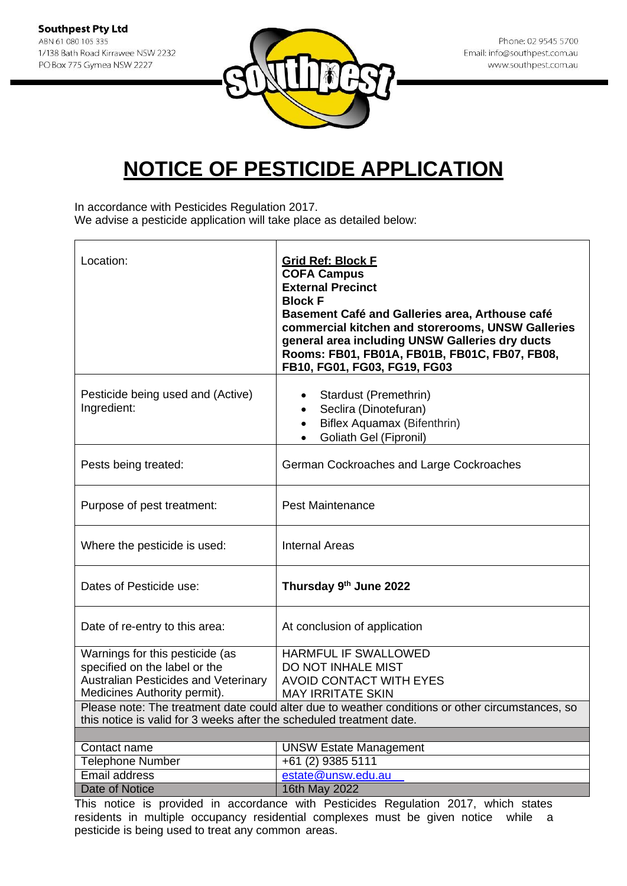

In accordance with Pesticides Regulation 2017.

We advise a pesticide application will take place as detailed below:

| Location:                                                                                                                                                                | <b>Grid Ref: Block F</b><br><b>COFA Campus</b><br><b>External Precinct</b><br><b>Block F</b><br>Basement Café and Galleries area, Arthouse café<br>commercial kitchen and storerooms, UNSW Galleries<br>general area including UNSW Galleries dry ducts<br>Rooms: FB01, FB01A, FB01B, FB01C, FB07, FB08,<br>FB10, FG01, FG03, FG19, FG03 |
|--------------------------------------------------------------------------------------------------------------------------------------------------------------------------|------------------------------------------------------------------------------------------------------------------------------------------------------------------------------------------------------------------------------------------------------------------------------------------------------------------------------------------|
| Pesticide being used and (Active)<br>Ingredient:                                                                                                                         | Stardust (Premethrin)<br>Seclira (Dinotefuran)<br>$\bullet$<br>Biflex Aquamax (Bifenthrin)<br>$\bullet$<br>Goliath Gel (Fipronil)                                                                                                                                                                                                        |
| Pests being treated:                                                                                                                                                     | German Cockroaches and Large Cockroaches                                                                                                                                                                                                                                                                                                 |
| Purpose of pest treatment:                                                                                                                                               | <b>Pest Maintenance</b>                                                                                                                                                                                                                                                                                                                  |
| Where the pesticide is used:                                                                                                                                             | <b>Internal Areas</b>                                                                                                                                                                                                                                                                                                                    |
| Dates of Pesticide use:                                                                                                                                                  | Thursday 9th June 2022                                                                                                                                                                                                                                                                                                                   |
| Date of re-entry to this area:                                                                                                                                           | At conclusion of application                                                                                                                                                                                                                                                                                                             |
| Warnings for this pesticide (as<br>specified on the label or the<br><b>Australian Pesticides and Veterinary</b><br>Medicines Authority permit).                          | HARMFUL IF SWALLOWED<br>DO NOT INHALE MIST<br><b>AVOID CONTACT WITH EYES</b><br><b>MAY IRRITATE SKIN</b>                                                                                                                                                                                                                                 |
| Please note: The treatment date could alter due to weather conditions or other circumstances, so<br>this notice is valid for 3 weeks after the scheduled treatment date. |                                                                                                                                                                                                                                                                                                                                          |
| Contact name                                                                                                                                                             |                                                                                                                                                                                                                                                                                                                                          |
| <b>Telephone Number</b>                                                                                                                                                  | <b>UNSW Estate Management</b><br>+61 (2) 9385 5111                                                                                                                                                                                                                                                                                       |
| <b>Email address</b>                                                                                                                                                     | estate@unsw.edu.au                                                                                                                                                                                                                                                                                                                       |
| <b>Date of Notice</b>                                                                                                                                                    | 16th May 2022                                                                                                                                                                                                                                                                                                                            |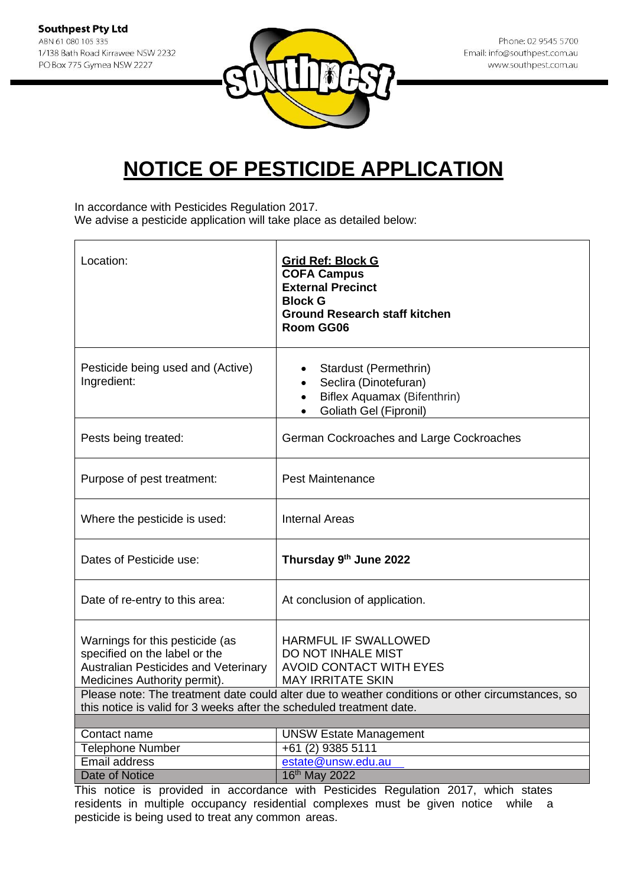

In accordance with Pesticides Regulation 2017.

We advise a pesticide application will take place as detailed below:

| Location:                                                                                                                                       | <b>Grid Ref: Block G</b><br><b>COFA Campus</b><br><b>External Precinct</b><br><b>Block G</b><br><b>Ground Research staff kitchen</b><br>Room GG06                                                            |
|-------------------------------------------------------------------------------------------------------------------------------------------------|--------------------------------------------------------------------------------------------------------------------------------------------------------------------------------------------------------------|
| Pesticide being used and (Active)<br>Ingredient:                                                                                                | Stardust (Permethrin)<br>Seclira (Dinotefuran)<br>Biflex Aquamax (Bifenthrin)<br>Goliath Gel (Fipronil)                                                                                                      |
| Pests being treated:                                                                                                                            | German Cockroaches and Large Cockroaches                                                                                                                                                                     |
| Purpose of pest treatment:                                                                                                                      | <b>Pest Maintenance</b>                                                                                                                                                                                      |
| Where the pesticide is used:                                                                                                                    | <b>Internal Areas</b>                                                                                                                                                                                        |
| Dates of Pesticide use:                                                                                                                         | Thursday 9th June 2022                                                                                                                                                                                       |
| Date of re-entry to this area:                                                                                                                  | At conclusion of application.                                                                                                                                                                                |
| Warnings for this pesticide (as<br>specified on the label or the<br><b>Australian Pesticides and Veterinary</b><br>Medicines Authority permit). | HARMFUL IF SWALLOWED<br>DO NOT INHALE MIST<br><b>AVOID CONTACT WITH EYES</b><br><b>MAY IRRITATE SKIN</b><br>Please note: The treatment date could alter due to weather conditions or other circumstances, so |
| this notice is valid for 3 weeks after the scheduled treatment date.                                                                            |                                                                                                                                                                                                              |
| Contact name                                                                                                                                    | <b>UNSW Estate Management</b>                                                                                                                                                                                |
| <b>Telephone Number</b>                                                                                                                         | +61 (2) 9385 5111                                                                                                                                                                                            |
| <b>Email address</b>                                                                                                                            | estate@unsw.edu.au                                                                                                                                                                                           |
| Date of Notice<br>This satiss is securidad in                                                                                                   | 16th May 2022<br>dense uith Destisides Desulation 0047 which atate                                                                                                                                           |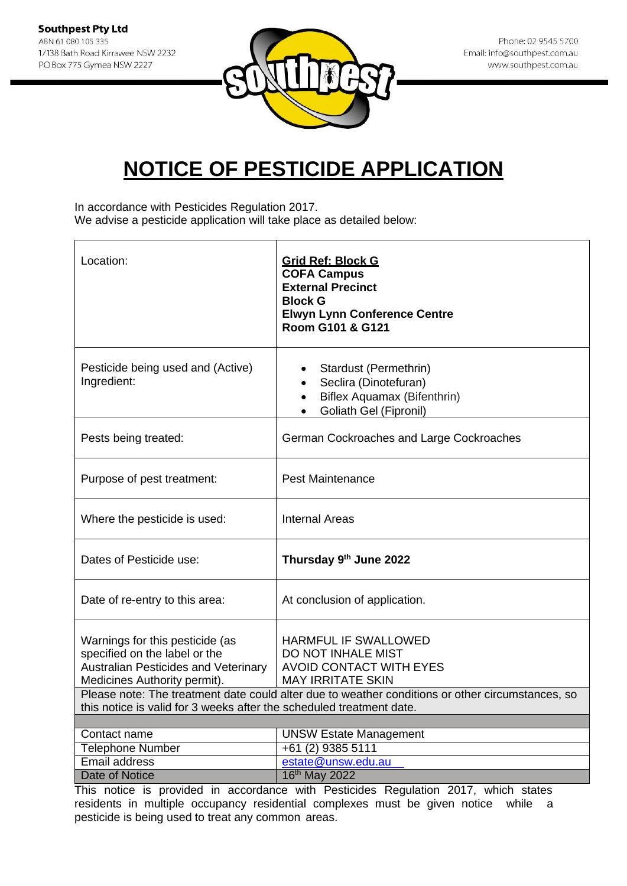

In accordance with Pesticides Regulation 2017.

We advise a pesticide application will take place as detailed below:

| Location:                                                                                                                                                                                                               | <b>Grid Ref: Block G</b><br><b>COFA Campus</b><br><b>External Precinct</b><br><b>Block G</b><br><b>Elwyn Lynn Conference Centre</b><br>Room G101 & G121                                                      |
|-------------------------------------------------------------------------------------------------------------------------------------------------------------------------------------------------------------------------|--------------------------------------------------------------------------------------------------------------------------------------------------------------------------------------------------------------|
| Pesticide being used and (Active)<br>Ingredient:                                                                                                                                                                        | Stardust (Permethrin)<br>Seclira (Dinotefuran)<br>Biflex Aquamax (Bifenthrin)<br>$\bullet$<br>Goliath Gel (Fipronil)                                                                                         |
| Pests being treated:                                                                                                                                                                                                    | German Cockroaches and Large Cockroaches                                                                                                                                                                     |
| Purpose of pest treatment:                                                                                                                                                                                              | <b>Pest Maintenance</b>                                                                                                                                                                                      |
| Where the pesticide is used:                                                                                                                                                                                            | <b>Internal Areas</b>                                                                                                                                                                                        |
| Dates of Pesticide use:                                                                                                                                                                                                 | Thursday 9th June 2022                                                                                                                                                                                       |
| Date of re-entry to this area:                                                                                                                                                                                          | At conclusion of application.                                                                                                                                                                                |
| Warnings for this pesticide (as<br>specified on the label or the<br><b>Australian Pesticides and Veterinary</b><br>Medicines Authority permit).<br>this notice is valid for 3 weeks after the scheduled treatment date. | HARMFUL IF SWALLOWED<br>DO NOT INHALE MIST<br><b>AVOID CONTACT WITH EYES</b><br><b>MAY IRRITATE SKIN</b><br>Please note: The treatment date could alter due to weather conditions or other circumstances, so |
|                                                                                                                                                                                                                         |                                                                                                                                                                                                              |
| Contact name<br><b>Telephone Number</b>                                                                                                                                                                                 | <b>UNSW Estate Management</b><br>+61 (2) 9385 5111                                                                                                                                                           |
| <b>Email address</b>                                                                                                                                                                                                    | estate@unsw.edu.au                                                                                                                                                                                           |
| <b>Date of Notice</b>                                                                                                                                                                                                   | 16th May 2022                                                                                                                                                                                                |
|                                                                                                                                                                                                                         |                                                                                                                                                                                                              |